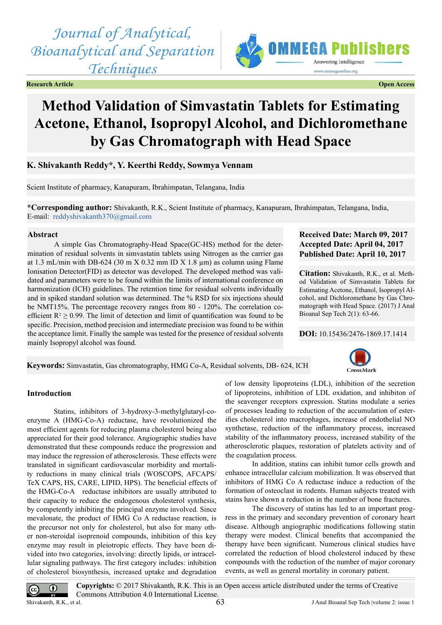*Journal of Analytical, Bioanalytical and Separation Techniques*

**Research Article Open Access**



# **Method Validation of Simvastatin Tablets for Estimating Acetone, Ethanol, Isopropyl Alcohol, and Dichloromethane by Gas Chromatograph with Head Space**

**K. Shivakanth Reddy\*, Y. Keerthi Reddy, Sowmya Vennam**

Scient Institute of pharmacy, Kanapuram, Ibrahimpatan, Telangana, India

**\*Corresponding author:** Shivakanth, R.K., Scient Institute of pharmacy, Kanapuram, Ibrahimpatan, Telangana, India, E-mail: [reddyshivakanth370@gmail.com](mailto:reddyshivakanth370@gmail.com)

#### **Abstract**

A simple Gas Chromatography-Head Space(GC-HS) method for the determination of residual solvents in simvastatin tablets using Nitrogen as the carrier gas at 1.3 mL/min with DB-624 (30 m  $X$  0.32 mm ID  $X$  1.8  $\mu$ m) as column using Flame Ionisation Detector(FID) as detector was developed. The developed method was validated and parameters were to be found within the limits of international conference on harmonization (ICH) guidelines. The retention time for residual solvents individually and in spiked standard solution was determined. The % RSD for six injections should be NMT15%. The percentage recovery ranges from 80 - 120%. The correlation coefficient  $R^2 \ge 0.99$ . The limit of detection and limit of quantification was found to be specific. Precision, method precision and intermediate precision was found to be within the acceptance limit. Finally the sample was tested for the presence of residual solvents mainly Isopropyl alcohol was found.

# **Received Date: March 09, 2017 Accepted Date: April 04, 2017 Published Date: April 10, 2017**

**Citation:** Shivakanth, R.K., et al. Method Validation of Simvastatin Tablets for Estimating Acetone, Ethanol, Isopropyl Alcohol, and Dichloromethane by Gas Chromatograph with Head Space. (2017) J Anal Bioanal Sep Tech 2(1): 63-66.

**DOI:** [10.15436/2476-1869.17.](http://www.dx.doi.org/10.15436/2476-1869-17-1414)1414

# **Keywords:** Simvastatin, Gas chromatography, HMG Co-A, Residual solvents, DB- 624, ICH



#### **Introduction**

Statins, inhibitors of 3-hydroxy-3-methylglutaryl-coenzyme A (HMG-Co-A) reductase, have revolutionized the most efficient agents for reducing plasma cholesterol being also appreciated for their good tolerance. Angiographic studies have demonstrated that these compounds reduce the progression and may induce the regression of atherosclerosis. These effects were translated in significant cardiovascular morbidity and mortality reductions in many clinical trials (WOSCOPS, AFCAPS/ TeX CAPS, HS, CARE, LIPID, HPS). The beneficial effects of the HMG-Co-A reductase inhibitors are usually attributed to their capacity to reduce the endogenous cholesterol synthesis, by competently inhibiting the principal enzyme involved. Since mevalonate, the product of HMG Co A reductase reaction, is the precursor not only for cholesterol, but also for many other non-steroidal isoprenoid compounds, inhibition of this key enzyme may result in pleiotropic effects. They have been divided into two categories, involving: directly lipids, or intracellular signaling pathways. The first category includes: inhibition of cholesterol biosynthesis, increased uptake and degradation

of low density lipoproteins (LDL), inhibition of the secretion of lipoproteins, inhibition of LDL oxidation, and inhibiton of the seavenger receptors expression. Statins modulate a series of processes leading to reduction of the accumulation of esterifies cholesterol into macrophages, increase of endothelial NO synthetase, reduction of the inflammatory process, increased stability of the inflammatory process, increased stability of the atherosclerotic plaques, restoration of platelets activity and of the coagulation process.

In addition, statins can inhibit tumor cells growth and enhance intracellular calcium mobilization. It was observed that inhibitors of HMG Co A reductase induce a reduction of the formation of osteoclast in rodents. Human subjects treated with stains have shown a reduction in the number of bone fractures.

The discovery of statins has led to an important progress in the primary and secondary prevention of coronary heart disease. Although angiographic modifications following statin therapy were modest. Clinical benefits that accompanied the therapy have been significant. Numerous clinical studies have correlated the reduction of blood cholesterol induced by these compounds with the reduction of the number of major coronary events, as well as general mortality in coronary patient.

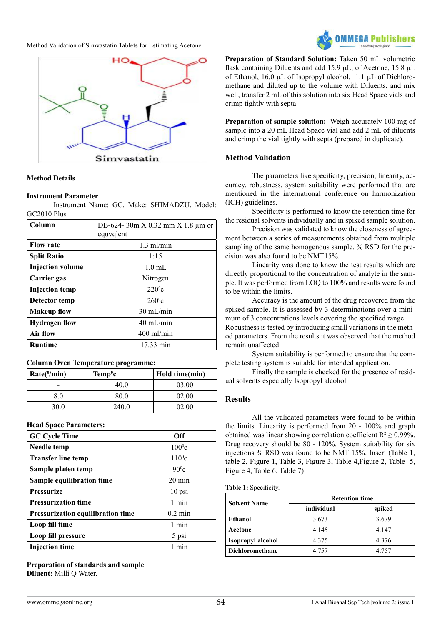



## **Method Details**

#### **Instrument Parameter**

Instrument Name: GC, Make: SHIMADZU, Model: GC2010 Plus

| Column                  | DB-624-30m X 0.32 mm X 1.8 μm or<br>equvqlent |  |  |
|-------------------------|-----------------------------------------------|--|--|
| <b>Flow rate</b>        | $1.3$ ml/min                                  |  |  |
| <b>Split Ratio</b>      | 1:15                                          |  |  |
| <b>Injection volume</b> | $1.0 \text{ mL}$                              |  |  |
| Carrier gas             | Nitrogen                                      |  |  |
| <b>Injection</b> temp   | $220^{\circ}$ c                               |  |  |
| Detector temp           | $260^{\circ}c$                                |  |  |
| <b>Makeup flow</b>      | $30 \text{ mL/min}$                           |  |  |
| <b>Hydrogen flow</b>    | $40 \text{ mL/min}$                           |  |  |
| Air flow                | $400$ ml/min                                  |  |  |
| <b>Runtime</b>          | 17.33 min                                     |  |  |

#### **Column Oven Temperature programme:**

| $Rate(^{0}/min)$ | $Temp^0c$ | Hold time(min) |
|------------------|-----------|----------------|
|                  | 40 O      | 03,00          |
| 80               | 80.0      | 02,00          |
| 30.0             | 240.0     | 02.00          |

#### **Head Space Parameters:**

| <b>GC Cycle Time</b>              | Off               |  |
|-----------------------------------|-------------------|--|
| Needle temp                       | $100^{\circ}$ c   |  |
| <b>Transfer line temp</b>         | $110^{\circ}$ c   |  |
| Sample platen temp                | $90^{\circ}$ c    |  |
| Sample equilibration time         | $20 \text{ min}$  |  |
| <b>Pressurize</b>                 | 10 psi            |  |
| <b>Pressurization time</b>        | 1 min             |  |
| Pressurization equilibration time | $0.2 \text{ min}$ |  |
| Loop fill time                    | 1 min             |  |
| Loop fill pressure                | 5 psi             |  |
| <b>Injection time</b>             | $1$ min           |  |

**Preparation of standards and sample Diluent:** Milli Q Water.

**Preparation of Standard Solution:** Taken 50 mL volumetric flask containing Diluents and add 15.9 µL, of Acetone, 15.8 µL of Ethanol, 16,0 µL of Isopropyl alcohol, 1.1 µL of Dichloromethane and diluted up to the volume with Diluents, and mix well, transfer 2 mL of this solution into six Head Space vials and crimp tightly with septa.

**Preparation of sample solution:** Weigh accurately 100 mg of sample into a 20 mL Head Space vial and add 2 mL of diluents and crimp the vial tightly with septa (prepared in duplicate).

## **Method Validation**

The parameters like specificity, precision, linearity, accuracy, robustness, system suitability were performed that are mentioned in the international conference on harmonization (ICH) guidelines.

Specificity is performed to know the retention time for the residual solvents individually and in spiked sample solution.

Precision was validated to know the closeness of agreement between a series of measurements obtained from multiple sampling of the same homogenous sample. % RSD for the precision was also found to be NMT15%.

Linearity was done to know the test results which are directly proportional to the concentration of analyte in the sample. It was performed from LOQ to 100% and results were found to be within the limits.

Accuracy is the amount of the drug recovered from the spiked sample. It is assessed by 3 determinations over a minimum of 3 concentrations levels covering the specified range. Robustness is tested by introducing small variations in the method parameters. From the results it was observed that the method remain unaffected.

System suitability is performed to ensure that the complete testing system is suitable for intended application.

Finally the sample is checked for the presence of residual solvents especially Isopropyl alcohol.

#### **Results**

All the validated parameters were found to be within the limits. Linearity is performed from 20 - 100% and graph obtained was linear showing correlation coefficient  $R^2 \ge 0.99\%$ . Drug recovery should be 80 - 120%. System suitability for six injections % RSD was found to be NMT 15%. Insert (Table 1, table 2, Figure 1, Table 3, Figure 3, Table 4,Figure 2, Table 5, Figure 4, Table 6, Table 7)

#### **Table 1:** Specificity.

|                        | <b>Retention time</b> |        |  |
|------------------------|-----------------------|--------|--|
| <b>Solvent Name</b>    | individual            | spiked |  |
| Ethanol                | 3.673                 | 3.679  |  |
| Acetone                | 4 1 4 5<br>4.147      |        |  |
| Isopropyl alcohol      | 4.376<br>4.375        |        |  |
| <b>Dichloromethane</b> | 4 7 5 7               | 4.757  |  |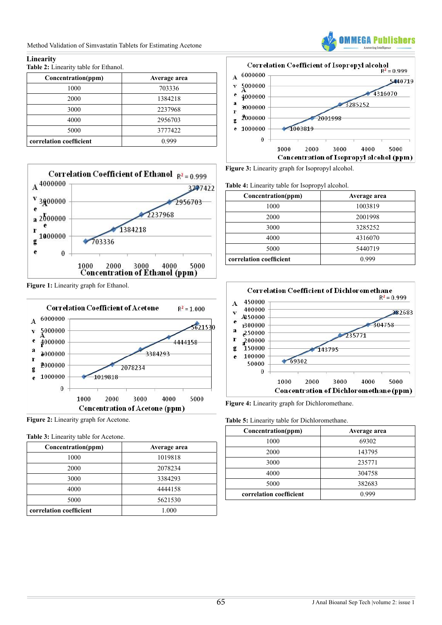Method Validation of Simvastatin Tablets for Estimating Acetone



## **Linearity**

**Table 2:** Linearity table for Ethanol.

| Concentration(ppm)      | Average area |
|-------------------------|--------------|
| 1000                    | 703336       |
| 2000                    | 1384218      |
| 3000                    | 2237968      |
| 4000                    | 2956703      |
| 5000                    | 3777422      |
| correlation coefficient | 0.999        |



**Figure 1:** Linearity graph for Ethanol.



**Figure 2:** Linearity graph for Acetone.

|  |  |  | <b>Table 3:</b> Linearity table for Acetone. |
|--|--|--|----------------------------------------------|
|--|--|--|----------------------------------------------|

| Concentration(ppm)      | Average area |
|-------------------------|--------------|
| 1000                    | 1019818      |
| 2000                    | 2078234      |
| 3000                    | 3384293      |
| 4000                    | 4444158      |
| 5000                    | 5621530      |
| correlation coefficient | 1.000        |



**Figure 3:** Linearity graph for Isopropyl alcohol.

|  |  |  | Table 4: Linearity table for Isopropyl alcohol. |  |
|--|--|--|-------------------------------------------------|--|
|--|--|--|-------------------------------------------------|--|

| Concentration(ppm)      | Average area |
|-------------------------|--------------|
| 1000                    | 1003819      |
| 2000                    | 2001998      |
| 3000                    | 3285252      |
| 4000                    | 4316070      |
| 5000                    | 5440719      |
| correlation coefficient | () 999       |



**Figure 4:** Linearity graph for Dichloromethane.

**Table 5:** Linearity table for Dichloromethane.

| Concentration(ppm)      | Average area |
|-------------------------|--------------|
| 1000                    | 69302        |
| 2000                    | 143795       |
| 3000                    | 235771       |
| 4000                    | 304758       |
| 5000                    | 382683       |
| correlation coefficient | 0.999        |